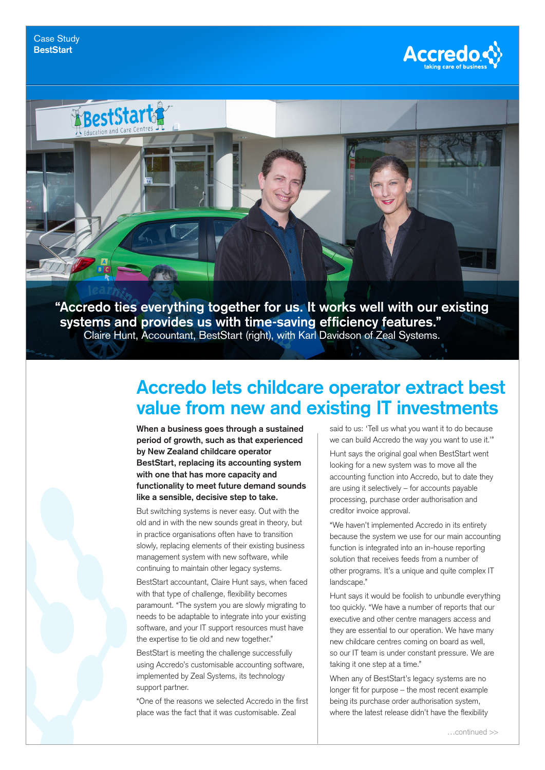



**systems and provides us with time-saving efficiency features."** Claire Hunt, Accountant, BestStart (right), with Karl Davidson of Zeal Systems.

## **Accredo lets childcare operator extract best value from new and existing IT investments**

**When a business goes through a sustained period of growth, such as that experienced by New Zealand childcare operator BestStart, replacing its accounting system with one that has more capacity and functionality to meet future demand sounds like a sensible, decisive step to take.**

But switching systems is never easy. Out with the old and in with the new sounds great in theory, but in practice organisations often have to transition slowly, replacing elements of their existing business management system with new software, while continuing to maintain other legacy systems. BestStart accountant, Claire Hunt says, when faced with that type of challenge, flexibility becomes paramount. "The system you are slowly migrating to needs to be adaptable to integrate into your existing software, and your IT support resources must have the expertise to tie old and new together."

BestStart is meeting the challenge successfully using Accredo's customisable accounting software, implemented by Zeal Systems, its technology support partner.

"One of the reasons we selected Accredo in the first place was the fact that it was customisable. Zeal

said to us: 'Tell us what you want it to do because we can build Accredo the way you want to use it.'" Hunt says the original goal when BestStart went looking for a new system was to move all the accounting function into Accredo, but to date they are using it selectively – for accounts payable processing, purchase order authorisation and creditor invoice approval.

"We haven't implemented Accredo in its entirety because the system we use for our main accounting function is integrated into an in-house reporting solution that receives feeds from a number of other programs. It's a unique and quite complex IT landscape."

Hunt says it would be foolish to unbundle everything too quickly. "We have a number of reports that our executive and other centre managers access and they are essential to our operation. We have many new childcare centres coming on board as well, so our IT team is under constant pressure. We are taking it one step at a time."

When any of BestStart's legacy systems are no longer fit for purpose – the most recent example being its purchase order authorisation system, where the latest release didn't have the flexibility